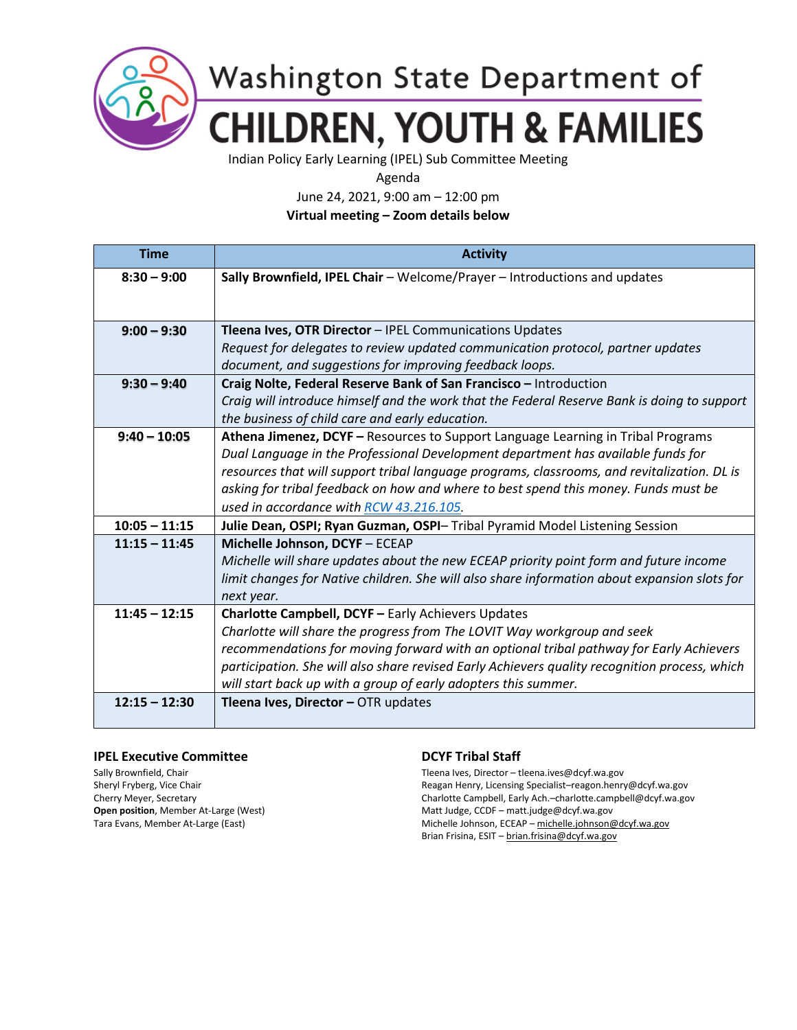

## Washington State Department of **CHILDREN, YOUTH & FAMILIES**

Indian Policy Early Learning (IPEL) Sub Committee Meeting

Agenda

June 24, 2021, 9:00 am – 12:00 pm

**Virtual meeting – Zoom details below**

| <b>Time</b>     | <b>Activity</b>                                                                               |
|-----------------|-----------------------------------------------------------------------------------------------|
| $8:30 - 9:00$   | Sally Brownfield, IPEL Chair - Welcome/Prayer - Introductions and updates                     |
|                 |                                                                                               |
|                 |                                                                                               |
| $9:00 - 9:30$   | Tleena Ives, OTR Director - IPEL Communications Updates                                       |
|                 | Request for delegates to review updated communication protocol, partner updates               |
|                 | document, and suggestions for improving feedback loops.                                       |
| $9:30 - 9:40$   | Craig Nolte, Federal Reserve Bank of San Francisco - Introduction                             |
|                 | Craig will introduce himself and the work that the Federal Reserve Bank is doing to support   |
|                 | the business of child care and early education.                                               |
| $9:40 - 10:05$  | Athena Jimenez, DCYF - Resources to Support Language Learning in Tribal Programs              |
|                 | Dual Language in the Professional Development department has available funds for              |
|                 | resources that will support tribal language programs, classrooms, and revitalization. DL is   |
|                 | asking for tribal feedback on how and where to best spend this money. Funds must be           |
|                 | used in accordance with RCW 43.216.105.                                                       |
| $10:05 - 11:15$ | Julie Dean, OSPI; Ryan Guzman, OSPI- Tribal Pyramid Model Listening Session                   |
| $11:15 - 11:45$ | Michelle Johnson, DCYF - ECEAP                                                                |
|                 | Michelle will share updates about the new ECEAP priority point form and future income         |
|                 | limit changes for Native children. She will also share information about expansion slots for  |
|                 | next year.                                                                                    |
| $11:45 - 12:15$ | Charlotte Campbell, DCYF - Early Achievers Updates                                            |
|                 | Charlotte will share the progress from The LOVIT Way workgroup and seek                       |
|                 | recommendations for moving forward with an optional tribal pathway for Early Achievers        |
|                 | participation. She will also share revised Early Achievers quality recognition process, which |
|                 | will start back up with a group of early adopters this summer.                                |
| $12:15 - 12:30$ | Tleena Ives, Director - OTR updates                                                           |
|                 |                                                                                               |

## **IPEL Executive Committee Committee Committee Committee Committee Committee Committee Committee Committee Committee Committee Committee Committee Committee Committee Committee Committee Committee Committee Committee Commit**

Sally Brownfield, Chair Tleena Ives, Director – tleena.ives@dcyf.wa.gov Sheryl Fryberg, Vice Chair Reagan Henry, Licensing Specialist–reagon.henry@dcyf.wa.gov Cherry Meyer, Secretary Charlotte Campbell, Early Ach.–charlotte.campbell@dcyf.wa.gov **Open position**, Member At-Large (West) Matt Judge, CCDF – matt.judge@dcyf.wa.gov Tara Evans, Member At-Large (East) Michelle Johnson, ECEAP – [michelle.johnson@dcyf.wa.gov](mailto:michelle.johnson@dcyf.wa.gov) Brian Frisina, ESIT – [brian.frisina@dcyf.wa.gov](mailto:brian.frisina@dcyf.wa.gov)